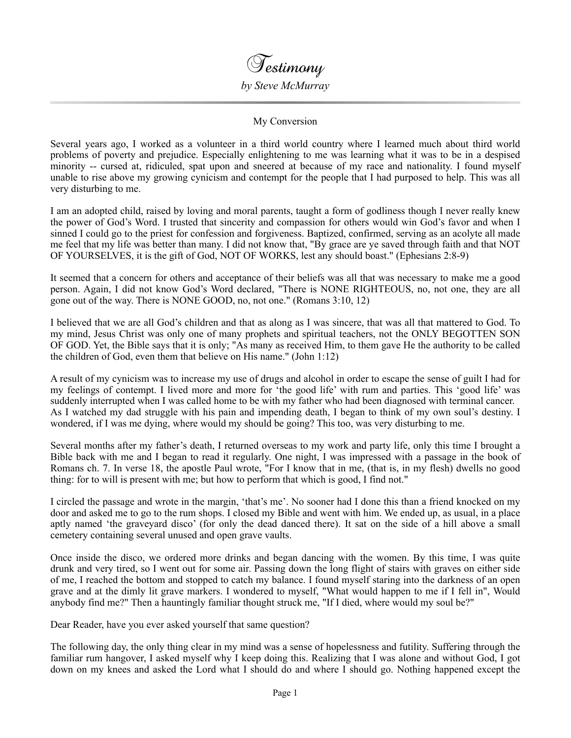

## My Conversion

Several years ago, I worked as a volunteer in a third world country where I learned much about third world problems of poverty and prejudice. Especially enlightening to me was learning what it was to be in a despised minority -- cursed at, ridiculed, spat upon and sneered at because of my race and nationality. I found myself unable to rise above my growing cynicism and contempt for the people that I had purposed to help. This was all very disturbing to me.

I am an adopted child, raised by loving and moral parents, taught a form of godliness though I never really knew the power of God's Word. I trusted that sincerity and compassion for others would win God's favor and when I sinned I could go to the priest for confession and forgiveness. Baptized, confirmed, serving as an acolyte all made me feel that my life was better than many. I did not know that, "By grace are ye saved through faith and that NOT OF YOURSELVES, it is the gift of God, NOT OF WORKS, lest any should boast." (Ephesians 2:8-9)

It seemed that a concern for others and acceptance of their beliefs was all that was necessary to make me a good person. Again, I did not know God's Word declared, "There is NONE RIGHTEOUS, no, not one, they are all gone out of the way. There is NONE GOOD, no, not one." (Romans 3:10, 12)

I believed that we are all God's children and that as along as I was sincere, that was all that mattered to God. To my mind, Jesus Christ was only one of many prophets and spiritual teachers, not the ONLY BEGOTTEN SON OF GOD. Yet, the Bible says that it is only; "As many as received Him, to them gave He the authority to be called the children of God, even them that believe on His name." (John 1:12)

A result of my cynicism was to increase my use of drugs and alcohol in order to escape the sense of guilt I had for my feelings of contempt. I lived more and more for 'the good life' with rum and parties. This 'good life' was suddenly interrupted when I was called home to be with my father who had been diagnosed with terminal cancer. As I watched my dad struggle with his pain and impending death, I began to think of my own soul's destiny. I wondered, if I was me dying, where would my should be going? This too, was very disturbing to me.

Several months after my father's death, I returned overseas to my work and party life, only this time I brought a Bible back with me and I began to read it regularly. One night, I was impressed with a passage in the book of Romans ch. 7. In verse 18, the apostle Paul wrote, "For I know that in me, (that is, in my flesh) dwells no good thing: for to will is present with me; but how to perform that which is good, I find not."

I circled the passage and wrote in the margin, 'that's me'. No sooner had I done this than a friend knocked on my door and asked me to go to the rum shops. I closed my Bible and went with him. We ended up, as usual, in a place aptly named 'the graveyard disco' (for only the dead danced there). It sat on the side of a hill above a small cemetery containing several unused and open grave vaults.

Once inside the disco, we ordered more drinks and began dancing with the women. By this time, I was quite drunk and very tired, so I went out for some air. Passing down the long flight of stairs with graves on either side of me, I reached the bottom and stopped to catch my balance. I found myself staring into the darkness of an open grave and at the dimly lit grave markers. I wondered to myself, "What would happen to me if I fell in", Would anybody find me?" Then a hauntingly familiar thought struck me, "If I died, where would my soul be?"

Dear Reader, have you ever asked yourself that same question?

The following day, the only thing clear in my mind was a sense of hopelessness and futility. Suffering through the familiar rum hangover, I asked myself why I keep doing this. Realizing that I was alone and without God, I got down on my knees and asked the Lord what I should do and where I should go. Nothing happened except the